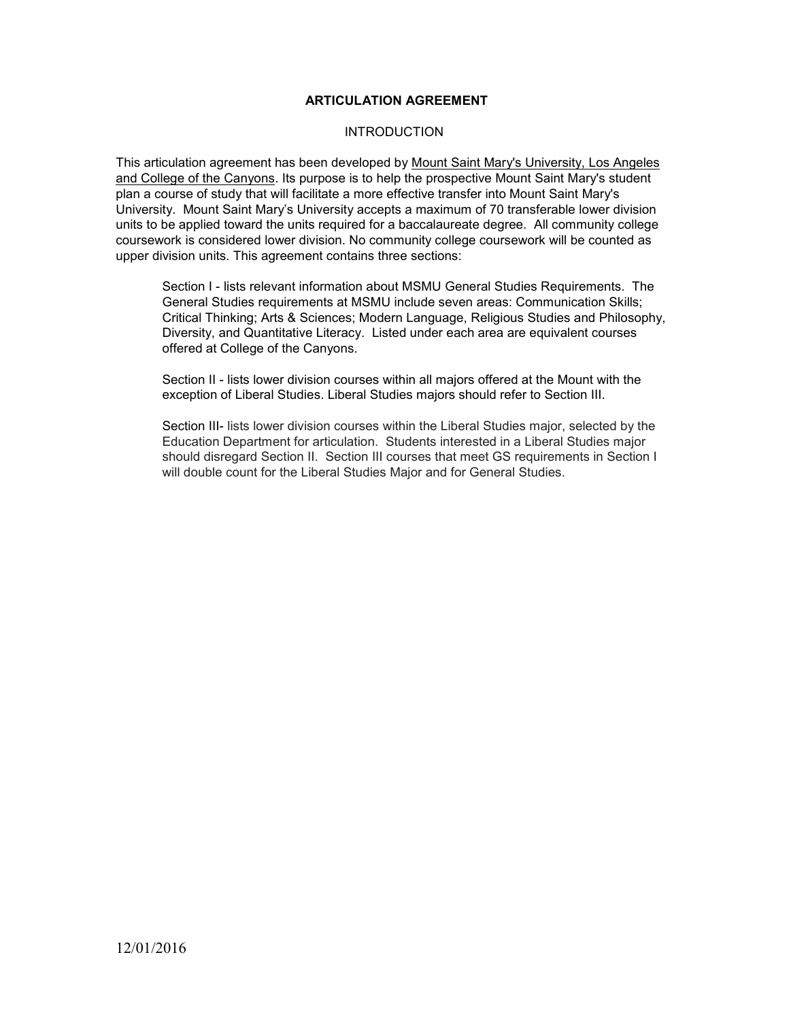## **ARTICULATION AGREEMENT**

#### **INTRODUCTION**

This articulation agreement has been developed by Mount Saint Mary's University, Los Angeles and College of the Canyons. Its purpose is to help the prospective Mount Saint Mary's student plan a course of study that will facilitate a more effective transfer into Mount Saint Mary's University. Mount Saint Mary's University accepts a maximum of 70 transferable lower division units to be applied toward the units required for a baccalaureate degree. All community college coursework is considered lower division. No community college coursework will be counted as upper division units. This agreement contains three sections:

Section I - lists relevant information about MSMU General Studies Requirements. The General Studies requirements at MSMU include seven areas: Communication Skills; Critical Thinking; Arts & Sciences; Modern Language, Religious Studies and Philosophy, Diversity, and Quantitative Literacy. Listed under each area are equivalent courses offered at College of the Canyons.

Section II - lists lower division courses within all majors offered at the Mount with the exception of Liberal Studies. Liberal Studies majors should refer to Section III.

Section III- lists lower division courses within the Liberal Studies major, selected by the Education Department for articulation. Students interested in a Liberal Studies major should disregard Section II. Section III courses that meet GS requirements in Section I will double count for the Liberal Studies Major and for General Studies.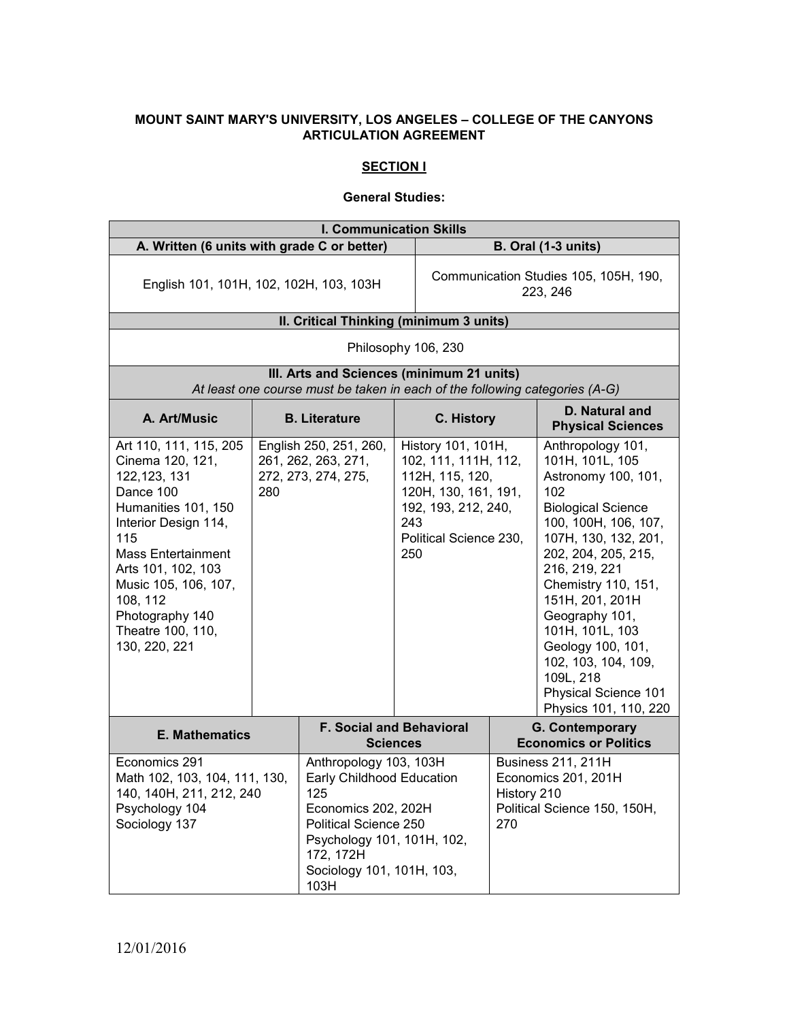## **MOUNT SAINT MARY'S UNIVERSITY, LOS ANGELES – COLLEGE OF THE CANYONS ARTICULATION AGREEMENT**

# **SECTION I**

#### **General Studies:**

| <b>I. Communication Skills</b>                                                                                                                                                                                                                                                 |     |                                                                                                                                                                                                          |                                                                                                                                                      |                            |                                                                                                                                                                                                                                                                                                                                                                                  |
|--------------------------------------------------------------------------------------------------------------------------------------------------------------------------------------------------------------------------------------------------------------------------------|-----|----------------------------------------------------------------------------------------------------------------------------------------------------------------------------------------------------------|------------------------------------------------------------------------------------------------------------------------------------------------------|----------------------------|----------------------------------------------------------------------------------------------------------------------------------------------------------------------------------------------------------------------------------------------------------------------------------------------------------------------------------------------------------------------------------|
| A. Written (6 units with grade C or better)                                                                                                                                                                                                                                    |     |                                                                                                                                                                                                          |                                                                                                                                                      | <b>B. Oral (1-3 units)</b> |                                                                                                                                                                                                                                                                                                                                                                                  |
| English 101, 101H, 102, 102H, 103, 103H                                                                                                                                                                                                                                        |     |                                                                                                                                                                                                          | Communication Studies 105, 105H, 190,<br>223, 246                                                                                                    |                            |                                                                                                                                                                                                                                                                                                                                                                                  |
|                                                                                                                                                                                                                                                                                |     | II. Critical Thinking (minimum 3 units)                                                                                                                                                                  |                                                                                                                                                      |                            |                                                                                                                                                                                                                                                                                                                                                                                  |
| Philosophy 106, 230                                                                                                                                                                                                                                                            |     |                                                                                                                                                                                                          |                                                                                                                                                      |                            |                                                                                                                                                                                                                                                                                                                                                                                  |
|                                                                                                                                                                                                                                                                                |     | III. Arts and Sciences (minimum 21 units)<br>At least one course must be taken in each of the following categories (A-G)                                                                                 |                                                                                                                                                      |                            |                                                                                                                                                                                                                                                                                                                                                                                  |
| A. Art/Music                                                                                                                                                                                                                                                                   |     | <b>B.</b> Literature                                                                                                                                                                                     | C. History                                                                                                                                           |                            | D. Natural and<br><b>Physical Sciences</b>                                                                                                                                                                                                                                                                                                                                       |
| Art 110, 111, 115, 205<br>Cinema 120, 121,<br>122, 123, 131<br>Dance 100<br>Humanities 101, 150<br>Interior Design 114,<br>115<br><b>Mass Entertainment</b><br>Arts 101, 102, 103<br>Music 105, 106, 107,<br>108, 112<br>Photography 140<br>Theatre 100, 110,<br>130, 220, 221 | 280 | English 250, 251, 260,<br>261, 262, 263, 271,<br>272, 273, 274, 275,                                                                                                                                     | History 101, 101H,<br>102, 111, 111H, 112,<br>112H, 115, 120,<br>120H, 130, 161, 191,<br>192, 193, 212, 240,<br>243<br>Political Science 230,<br>250 |                            | Anthropology 101,<br>101H, 101L, 105<br>Astronomy 100, 101,<br>102<br><b>Biological Science</b><br>100, 100H, 106, 107,<br>107H, 130, 132, 201,<br>202, 204, 205, 215,<br>216, 219, 221<br>Chemistry 110, 151,<br>151H, 201, 201H<br>Geography 101,<br>101H, 101L, 103<br>Geology 100, 101,<br>102, 103, 104, 109,<br>109L, 218<br>Physical Science 101<br>Physics 101, 110, 220 |
| <b>E. Mathematics</b>                                                                                                                                                                                                                                                          |     |                                                                                                                                                                                                          | <b>F. Social and Behavioral</b><br>Sciences                                                                                                          |                            | <b>G. Contemporary</b><br><b>Economics or Politics</b>                                                                                                                                                                                                                                                                                                                           |
| Economics 291<br>Math 102, 103, 104, 111, 130,<br>140, 140H, 211, 212, 240<br>Psychology 104<br>Sociology 137                                                                                                                                                                  |     | Anthropology 103, 103H<br><b>Early Childhood Education</b><br>125<br>Economics 202, 202H<br><b>Political Science 250</b><br>Psychology 101, 101H, 102,<br>172, 172H<br>Sociology 101, 101H, 103,<br>103H |                                                                                                                                                      | History 210<br>270         | <b>Business 211, 211H</b><br>Economics 201, 201H<br>Political Science 150, 150H,                                                                                                                                                                                                                                                                                                 |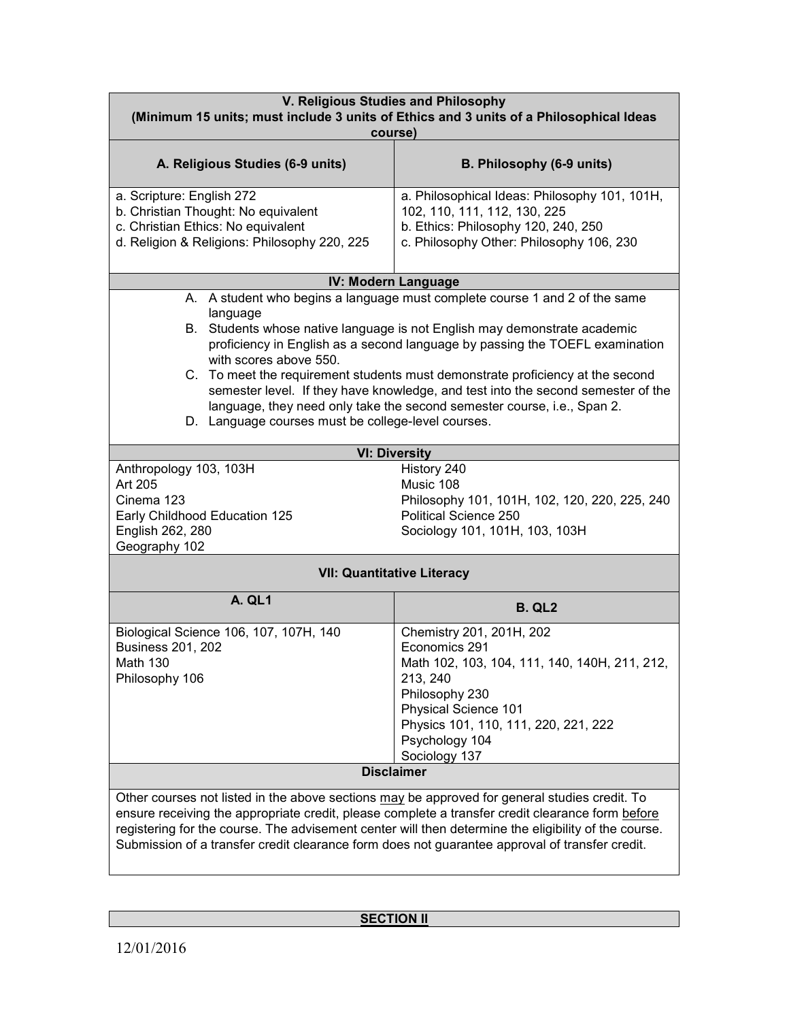| V. Religious Studies and Philosophy<br>(Minimum 15 units; must include 3 units of Ethics and 3 units of a Philosophical Ideas<br>course)                                                                                                                                                                                                                                                                                                                                                                                                                                              |                                                                                                                                                                                                                             |  |  |  |
|---------------------------------------------------------------------------------------------------------------------------------------------------------------------------------------------------------------------------------------------------------------------------------------------------------------------------------------------------------------------------------------------------------------------------------------------------------------------------------------------------------------------------------------------------------------------------------------|-----------------------------------------------------------------------------------------------------------------------------------------------------------------------------------------------------------------------------|--|--|--|
| A. Religious Studies (6-9 units)                                                                                                                                                                                                                                                                                                                                                                                                                                                                                                                                                      | B. Philosophy (6-9 units)                                                                                                                                                                                                   |  |  |  |
| a. Scripture: English 272<br>b. Christian Thought: No equivalent<br>c. Christian Ethics: No equivalent<br>d. Religion & Religions: Philosophy 220, 225                                                                                                                                                                                                                                                                                                                                                                                                                                | a. Philosophical Ideas: Philosophy 101, 101H,<br>102, 110, 111, 112, 130, 225<br>b. Ethics: Philosophy 120, 240, 250<br>c. Philosophy Other: Philosophy 106, 230                                                            |  |  |  |
|                                                                                                                                                                                                                                                                                                                                                                                                                                                                                                                                                                                       | <b>IV: Modern Language</b>                                                                                                                                                                                                  |  |  |  |
| A. A student who begins a language must complete course 1 and 2 of the same<br>language<br>B. Students whose native language is not English may demonstrate academic<br>proficiency in English as a second language by passing the TOEFL examination<br>with scores above 550.<br>C. To meet the requirement students must demonstrate proficiency at the second<br>semester level. If they have knowledge, and test into the second semester of the<br>language, they need only take the second semester course, i.e., Span 2.<br>D. Language courses must be college-level courses. |                                                                                                                                                                                                                             |  |  |  |
|                                                                                                                                                                                                                                                                                                                                                                                                                                                                                                                                                                                       | <b>VI: Diversity</b>                                                                                                                                                                                                        |  |  |  |
| Anthropology 103, 103H<br>Art 205<br>Cinema 123<br>Early Childhood Education 125<br>English 262, 280<br>Geography 102                                                                                                                                                                                                                                                                                                                                                                                                                                                                 | History 240<br>Music 108<br>Philosophy 101, 101H, 102, 120, 220, 225, 240<br>Political Science 250<br>Sociology 101, 101H, 103, 103H                                                                                        |  |  |  |
|                                                                                                                                                                                                                                                                                                                                                                                                                                                                                                                                                                                       | <b>VII: Quantitative Literacy</b>                                                                                                                                                                                           |  |  |  |
| A. QL1                                                                                                                                                                                                                                                                                                                                                                                                                                                                                                                                                                                | <b>B. QL2</b>                                                                                                                                                                                                               |  |  |  |
| Biological Science 106, 107, 107H, 140<br><b>Business 201, 202</b><br><b>Math 130</b><br>Philosophy 106                                                                                                                                                                                                                                                                                                                                                                                                                                                                               | Chemistry 201, 201H, 202<br>Economics 291<br>Math 102, 103, 104, 111, 140, 140H, 211, 212,<br>213, 240<br>Philosophy 230<br>Physical Science 101<br>Physics 101, 110, 111, 220, 221, 222<br>Psychology 104<br>Sociology 137 |  |  |  |
|                                                                                                                                                                                                                                                                                                                                                                                                                                                                                                                                                                                       | <b>Disclaimer</b>                                                                                                                                                                                                           |  |  |  |
| Other courses not listed in the above sections may be approved for general studies credit. To<br>ensure receiving the appropriate credit, please complete a transfer credit clearance form before<br>registering for the course. The advisement center will then determine the eligibility of the course.<br>Submission of a transfer credit clearance form does not guarantee approval of transfer credit.                                                                                                                                                                           |                                                                                                                                                                                                                             |  |  |  |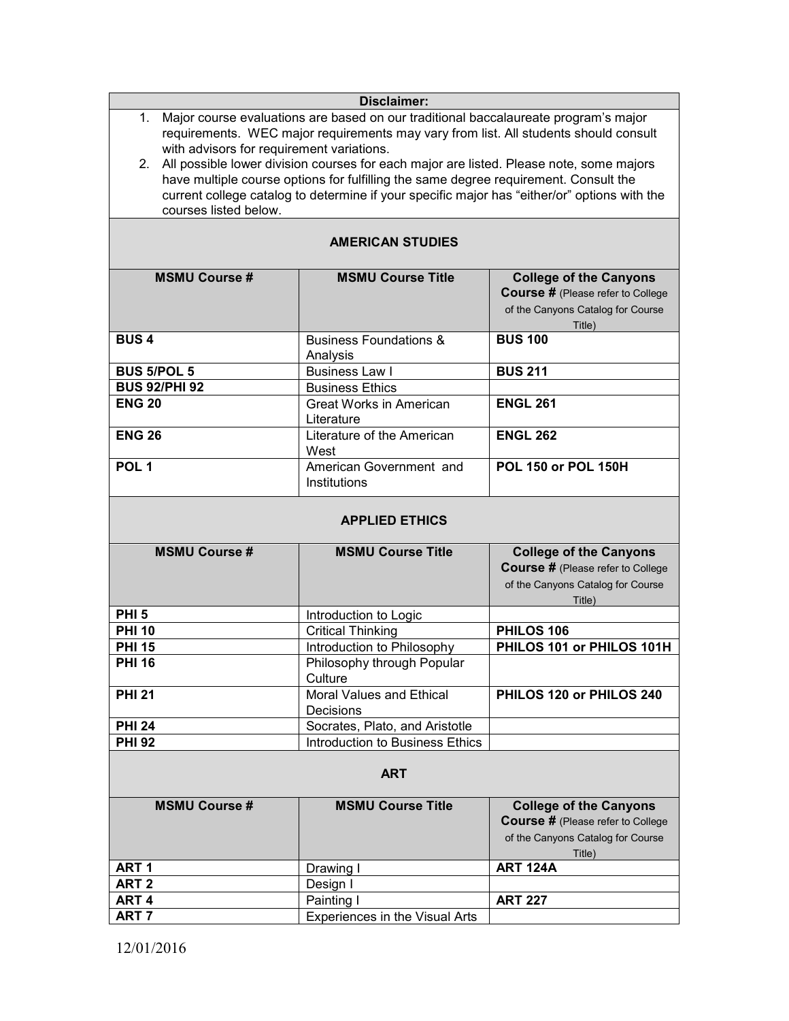|                                                                                                                                                                                                                                                                                                                                                                                                                                                                                                                                                  | <b>Disclaimer:</b>                                                  |                                                                                                                          |  |
|--------------------------------------------------------------------------------------------------------------------------------------------------------------------------------------------------------------------------------------------------------------------------------------------------------------------------------------------------------------------------------------------------------------------------------------------------------------------------------------------------------------------------------------------------|---------------------------------------------------------------------|--------------------------------------------------------------------------------------------------------------------------|--|
| Major course evaluations are based on our traditional baccalaureate program's major<br>1.<br>requirements. WEC major requirements may vary from list. All students should consult<br>with advisors for requirement variations.<br>All possible lower division courses for each major are listed. Please note, some majors<br>2.<br>have multiple course options for fulfilling the same degree requirement. Consult the<br>current college catalog to determine if your specific major has "either/or" options with the<br>courses listed below. |                                                                     |                                                                                                                          |  |
|                                                                                                                                                                                                                                                                                                                                                                                                                                                                                                                                                  | <b>AMERICAN STUDIES</b>                                             |                                                                                                                          |  |
| <b>MSMU Course #</b>                                                                                                                                                                                                                                                                                                                                                                                                                                                                                                                             | <b>MSMU Course Title</b>                                            | <b>College of the Canyons</b><br><b>Course # (Please refer to College</b><br>of the Canyons Catalog for Course<br>Title) |  |
| <b>BUS4</b>                                                                                                                                                                                                                                                                                                                                                                                                                                                                                                                                      | <b>Business Foundations &amp;</b><br>Analysis                       | <b>BUS 100</b>                                                                                                           |  |
| <b>BUS 5/POL 5</b>                                                                                                                                                                                                                                                                                                                                                                                                                                                                                                                               | <b>Business Law I</b>                                               | <b>BUS 211</b>                                                                                                           |  |
| <b>BUS 92/PHI 92</b>                                                                                                                                                                                                                                                                                                                                                                                                                                                                                                                             | <b>Business Ethics</b>                                              |                                                                                                                          |  |
| <b>ENG 20</b>                                                                                                                                                                                                                                                                                                                                                                                                                                                                                                                                    | <b>Great Works in American</b><br>Literature                        | <b>ENGL 261</b>                                                                                                          |  |
| <b>ENG 26</b>                                                                                                                                                                                                                                                                                                                                                                                                                                                                                                                                    | Literature of the American<br>West                                  | <b>ENGL 262</b>                                                                                                          |  |
| POL <sub>1</sub>                                                                                                                                                                                                                                                                                                                                                                                                                                                                                                                                 | American Government and<br>Institutions                             | <b>POL 150 or POL 150H</b>                                                                                               |  |
|                                                                                                                                                                                                                                                                                                                                                                                                                                                                                                                                                  | <b>APPLIED ETHICS</b>                                               |                                                                                                                          |  |
| <b>MSMU Course #</b>                                                                                                                                                                                                                                                                                                                                                                                                                                                                                                                             | <b>MSMU Course Title</b>                                            | <b>College of the Canyons</b><br><b>Course # (Please refer to College</b><br>of the Canyons Catalog for Course<br>Title) |  |
|                                                                                                                                                                                                                                                                                                                                                                                                                                                                                                                                                  |                                                                     |                                                                                                                          |  |
| PHI <sub>5</sub>                                                                                                                                                                                                                                                                                                                                                                                                                                                                                                                                 | Introduction to Logic                                               |                                                                                                                          |  |
| <b>PHI 10</b>                                                                                                                                                                                                                                                                                                                                                                                                                                                                                                                                    | <b>Critical Thinking</b>                                            | PHILOS 106                                                                                                               |  |
| <b>PHI 15</b><br><b>PHI 16</b>                                                                                                                                                                                                                                                                                                                                                                                                                                                                                                                   | Introduction to Philosophy<br>Philosophy through Popular<br>Culture | PHILOS 101 or PHILOS 101H                                                                                                |  |
| <b>PHI 21</b>                                                                                                                                                                                                                                                                                                                                                                                                                                                                                                                                    | <b>Moral Values and Ethical</b><br>Decisions                        | PHILOS 120 or PHILOS 240                                                                                                 |  |
| <b>PHI 24</b>                                                                                                                                                                                                                                                                                                                                                                                                                                                                                                                                    | Socrates, Plato, and Aristotle                                      |                                                                                                                          |  |
| <b>PHI 92</b>                                                                                                                                                                                                                                                                                                                                                                                                                                                                                                                                    | Introduction to Business Ethics                                     |                                                                                                                          |  |
|                                                                                                                                                                                                                                                                                                                                                                                                                                                                                                                                                  | <b>ART</b>                                                          |                                                                                                                          |  |
| <b>MSMU Course #</b>                                                                                                                                                                                                                                                                                                                                                                                                                                                                                                                             | <b>MSMU Course Title</b>                                            | <b>College of the Canyons</b><br><b>Course # (Please refer to College</b><br>of the Canyons Catalog for Course<br>Title) |  |
| ART <sub>1</sub>                                                                                                                                                                                                                                                                                                                                                                                                                                                                                                                                 | Drawing I                                                           | <b>ART 124A</b>                                                                                                          |  |
| ART <sub>2</sub>                                                                                                                                                                                                                                                                                                                                                                                                                                                                                                                                 |                                                                     |                                                                                                                          |  |
| ART <sub>4</sub>                                                                                                                                                                                                                                                                                                                                                                                                                                                                                                                                 | Design I<br>Painting I                                              | <b>ART 227</b>                                                                                                           |  |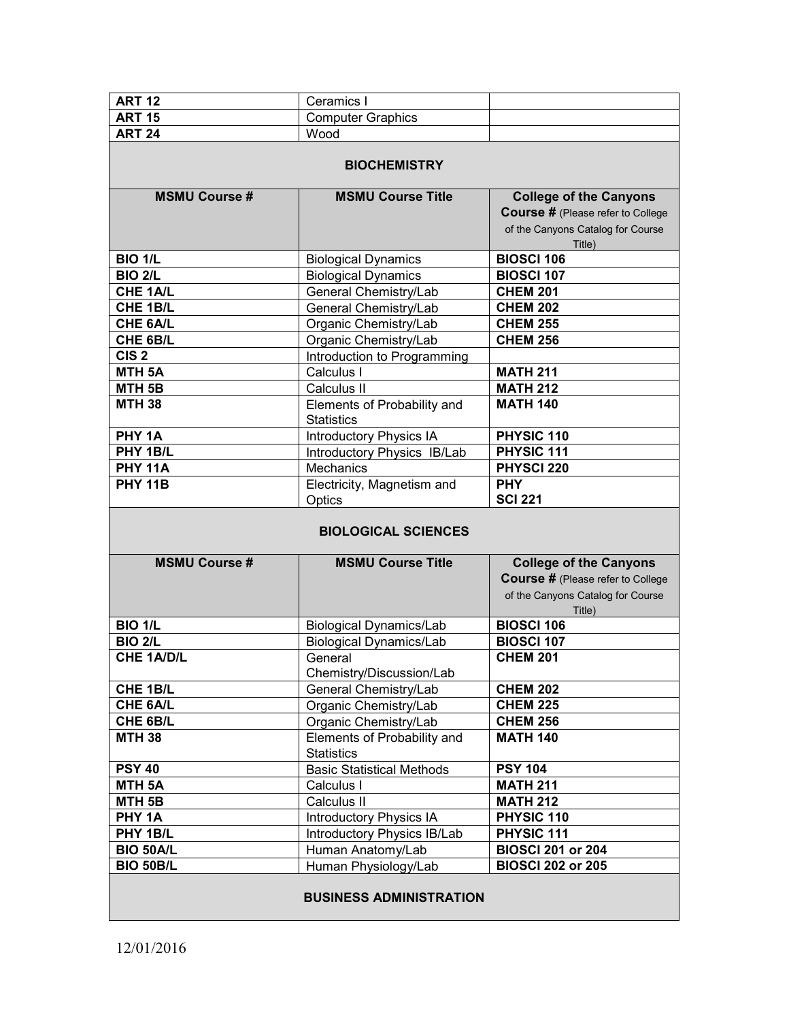| <b>ART 12</b>        | Ceramics I                       |                                          |
|----------------------|----------------------------------|------------------------------------------|
| <b>ART 15</b>        | <b>Computer Graphics</b>         |                                          |
| <b>ART 24</b>        | Wood                             |                                          |
|                      |                                  |                                          |
|                      | <b>BIOCHEMISTRY</b>              |                                          |
|                      |                                  |                                          |
| <b>MSMU Course #</b> | <b>MSMU Course Title</b>         | <b>College of the Canyons</b>            |
|                      |                                  | <b>Course # (Please refer to College</b> |
|                      |                                  | of the Canyons Catalog for Course        |
|                      |                                  | Title)                                   |
| <b>BIO 1/L</b>       | <b>Biological Dynamics</b>       | <b>BIOSCI 106</b>                        |
| <b>BIO 2/L</b>       | <b>Biological Dynamics</b>       | <b>BIOSCI 107</b>                        |
| <b>CHE 1A/L</b>      | General Chemistry/Lab            | <b>CHEM 201</b>                          |
| CHE 1B/L             | General Chemistry/Lab            | <b>CHEM 202</b>                          |
| CHE 6A/L             | Organic Chemistry/Lab            | <b>CHEM 255</b>                          |
| CHE 6B/L             | Organic Chemistry/Lab            | <b>CHEM 256</b>                          |
| CIS <sub>2</sub>     | Introduction to Programming      |                                          |
| <b>MTH 5A</b>        | Calculus I                       | <b>MATH 211</b>                          |
| MTH <sub>5B</sub>    | Calculus II                      | <b>MATH 212</b>                          |
| <b>MTH 38</b>        | Elements of Probability and      | <b>MATH 140</b>                          |
|                      | <b>Statistics</b>                |                                          |
| PHY 1A               | Introductory Physics IA          | PHYSIC 110                               |
| PHY 1B/L             | Introductory Physics IB/Lab      | PHYSIC 111                               |
| <b>PHY 11A</b>       | Mechanics                        | PHYSCI 220                               |
| <b>PHY 11B</b>       | Electricity, Magnetism and       | <b>PHY</b>                               |
|                      | Optics                           | <b>SCI 221</b>                           |
|                      |                                  |                                          |
|                      | <b>BIOLOGICAL SCIENCES</b>       |                                          |
|                      |                                  |                                          |
| <b>MSMU Course #</b> | <b>MSMU Course Title</b>         | <b>College of the Canyons</b>            |
|                      |                                  | <b>Course # (Please refer to College</b> |
|                      |                                  | of the Canyons Catalog for Course        |
|                      |                                  | Title)                                   |
| <b>BIO 1/L</b>       | <b>Biological Dynamics/Lab</b>   | <b>BIOSCI 106</b>                        |
| <b>BIO 2/L</b>       | <b>Biological Dynamics/Lab</b>   | <b>BIOSCI 107</b>                        |
| <b>CHE 1A/D/L</b>    | General                          | <b>CHEM 201</b>                          |
|                      | Chemistry/Discussion/Lab         |                                          |
| CHE 1B/L             | General Chemistry/Lab            | <b>CHEM 202</b>                          |
| CHE 6A/L             | Organic Chemistry/Lab            | <b>CHEM 225</b>                          |
| CHE 6B/L             | Organic Chemistry/Lab            | <b>CHEM 256</b>                          |
| <b>MTH 38</b>        | Elements of Probability and      | <b>MATH 140</b>                          |
|                      | <b>Statistics</b>                |                                          |
| <b>PSY 40</b>        | <b>Basic Statistical Methods</b> | <b>PSY 104</b><br><b>MATH 211</b>        |
| MTH <sub>5A</sub>    | Calculus I                       |                                          |
| MTH <sub>5B</sub>    | Calculus II                      | <b>MATH 212</b>                          |
| PHY 1A               | <b>Introductory Physics IA</b>   | PHYSIC 110                               |
| PHY 1B/L             | Introductory Physics IB/Lab      | PHYSIC 111                               |
| <b>BIO 50A/L</b>     | Human Anatomy/Lab                | <b>BIOSCI 201 or 204</b>                 |
| <b>BIO 50B/L</b>     | Human Physiology/Lab             | <b>BIOSCI 202 or 205</b>                 |
|                      | <b>BUSINESS ADMINISTRATION</b>   |                                          |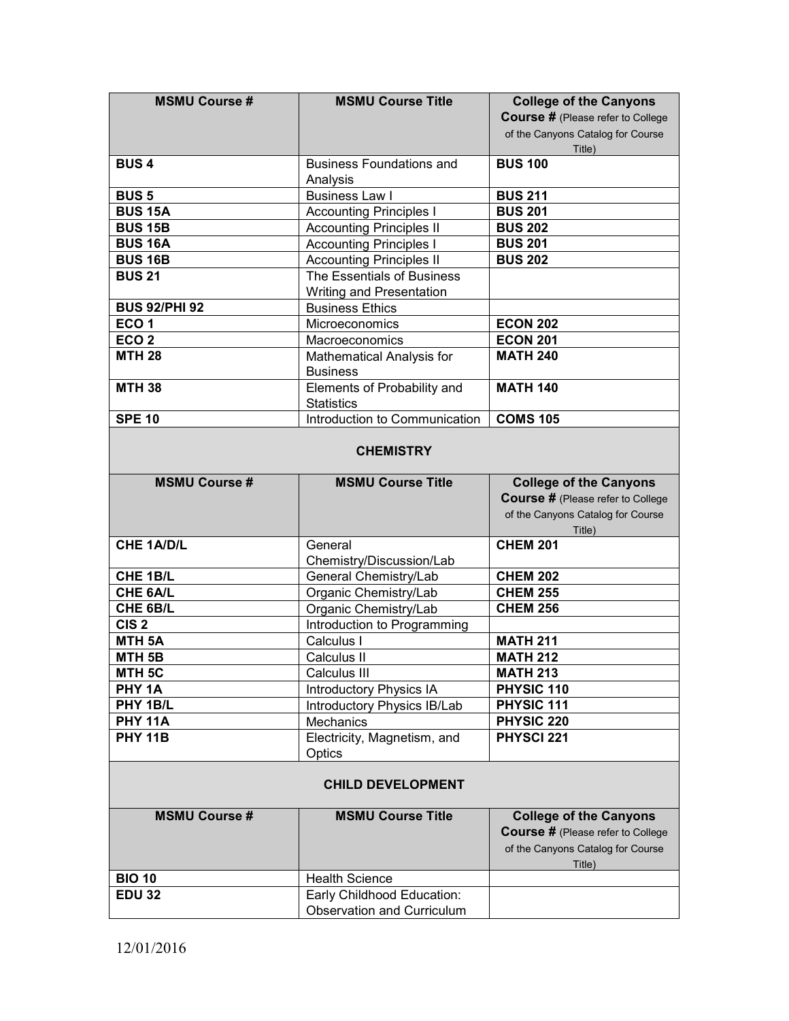| <b>MSMU Course #</b> | <b>MSMU Course Title</b>                                 | <b>College of the Canyons</b>            |  |
|----------------------|----------------------------------------------------------|------------------------------------------|--|
|                      |                                                          | <b>Course # (Please refer to College</b> |  |
|                      |                                                          | of the Canyons Catalog for Course        |  |
|                      |                                                          | Title)                                   |  |
| <b>BUS4</b>          | <b>Business Foundations and</b>                          | <b>BUS 100</b>                           |  |
|                      | Analysis                                                 |                                          |  |
| <b>BUS 5</b>         | <b>Business Law I</b>                                    | <b>BUS 211</b>                           |  |
| <b>BUS 15A</b>       | <b>Accounting Principles I</b>                           | <b>BUS 201</b>                           |  |
| <b>BUS 15B</b>       | <b>Accounting Principles II</b>                          | <b>BUS 202</b>                           |  |
| <b>BUS 16A</b>       | <b>Accounting Principles I</b>                           | <b>BUS 201</b>                           |  |
| <b>BUS 16B</b>       | <b>Accounting Principles II</b>                          | <b>BUS 202</b>                           |  |
| <b>BUS 21</b>        | The Essentials of Business                               |                                          |  |
|                      | Writing and Presentation                                 |                                          |  |
| <b>BUS 92/PHI 92</b> | <b>Business Ethics</b>                                   |                                          |  |
| ECO <sub>1</sub>     | Microeconomics                                           | <b>ECON 202</b>                          |  |
| ECO <sub>2</sub>     | Macroeconomics                                           | <b>ECON 201</b>                          |  |
| <b>MTH 28</b>        | Mathematical Analysis for                                | <b>MATH 240</b>                          |  |
|                      | <b>Business</b>                                          |                                          |  |
| <b>MTH 38</b>        | Elements of Probability and                              | <b>MATH 140</b>                          |  |
|                      | <b>Statistics</b>                                        |                                          |  |
| <b>SPE 10</b>        | Introduction to Communication                            | <b>COMS 105</b>                          |  |
|                      |                                                          |                                          |  |
|                      | <b>CHEMISTRY</b>                                         |                                          |  |
|                      |                                                          |                                          |  |
| <b>MSMU Course #</b> | <b>MSMU Course Title</b>                                 | <b>College of the Canyons</b>            |  |
|                      |                                                          | <b>Course # (Please refer to College</b> |  |
|                      |                                                          | of the Canyons Catalog for Course        |  |
|                      |                                                          | Title)                                   |  |
| <b>CHE 1A/D/L</b>    | General                                                  | <b>CHEM 201</b>                          |  |
|                      | Chemistry/Discussion/Lab                                 |                                          |  |
| CHE 1B/L             | General Chemistry/Lab                                    | <b>CHEM 202</b>                          |  |
| CHE 6A/L             | Organic Chemistry/Lab                                    | <b>CHEM 255</b>                          |  |
| CHE 6B/L             | Organic Chemistry/Lab                                    | <b>CHEM 256</b>                          |  |
| CIS <sub>2</sub>     | Introduction to Programming                              |                                          |  |
| MTH <sub>5A</sub>    | Calculus I                                               | <b>MATH 211</b>                          |  |
| MTH <sub>5B</sub>    | Calculus II                                              | <b>MATH 212</b>                          |  |
| MTH <sub>5C</sub>    | Calculus III                                             | <b>MATH 213</b>                          |  |
| PHY <sub>1A</sub>    | <b>Introductory Physics IA</b>                           | PHYSIC 110                               |  |
| PHY 1B/L             | Introductory Physics IB/Lab                              | PHYSIC 111                               |  |
| <b>PHY 11A</b>       | Mechanics                                                | PHYSIC 220                               |  |
| <b>PHY 11B</b>       | Electricity, Magnetism, and                              |                                          |  |
|                      |                                                          | <b>PHYSCI 221</b>                        |  |
|                      | Optics                                                   |                                          |  |
|                      |                                                          |                                          |  |
|                      | <b>CHILD DEVELOPMENT</b>                                 |                                          |  |
|                      |                                                          |                                          |  |
| <b>MSMU Course #</b> | <b>MSMU Course Title</b>                                 | <b>College of the Canyons</b>            |  |
|                      |                                                          | <b>Course # (Please refer to College</b> |  |
|                      |                                                          | of the Canyons Catalog for Course        |  |
|                      |                                                          | Title)                                   |  |
| <b>BIO 10</b>        | <b>Health Science</b>                                    |                                          |  |
| <b>EDU 32</b>        | Early Childhood Education:<br>Observation and Curriculum |                                          |  |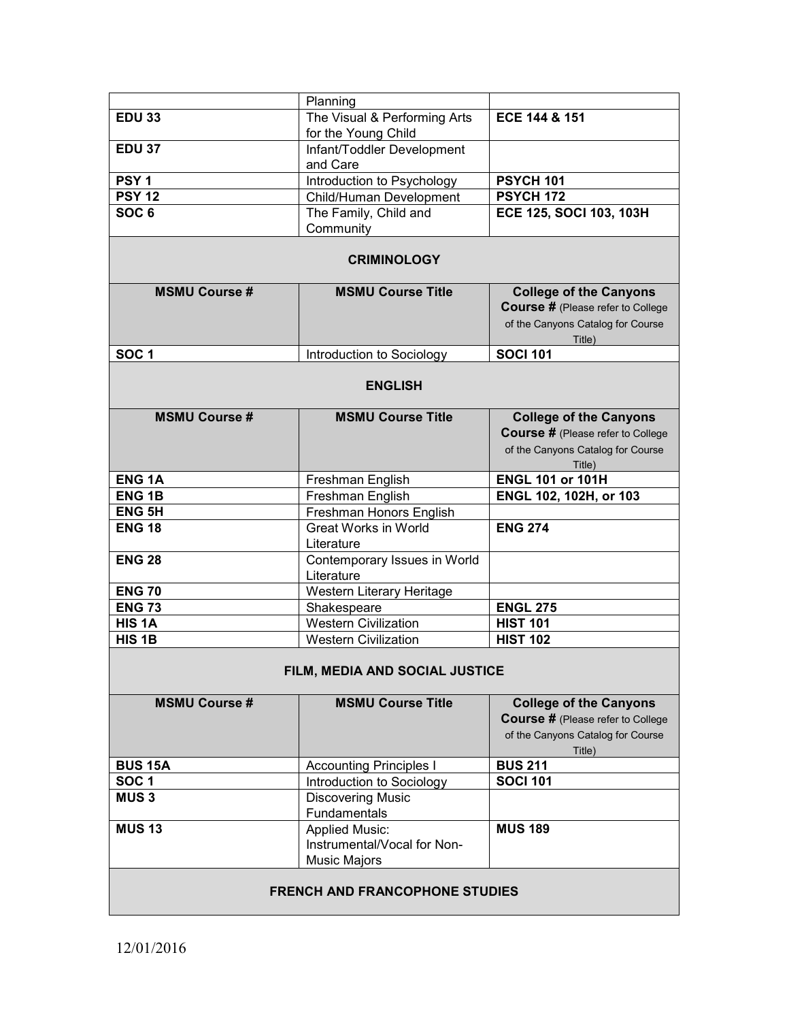|                                       | Planning                                   |                                          |  |
|---------------------------------------|--------------------------------------------|------------------------------------------|--|
| <b>EDU 33</b>                         | The Visual & Performing Arts               | ECE 144 & 151                            |  |
|                                       | for the Young Child                        |                                          |  |
| <b>EDU 37</b>                         | Infant/Toddler Development                 |                                          |  |
|                                       | and Care                                   |                                          |  |
| PSY <sub>1</sub>                      | Introduction to Psychology                 | <b>PSYCH 101</b>                         |  |
| <b>PSY 12</b>                         | Child/Human Development                    | PSYCH 172                                |  |
| SOC <sub>6</sub>                      | The Family, Child and                      | ECE 125, SOCI 103, 103H                  |  |
|                                       | Community                                  |                                          |  |
|                                       | <b>CRIMINOLOGY</b>                         |                                          |  |
| <b>MSMU Course#</b>                   | <b>MSMU Course Title</b>                   | <b>College of the Canyons</b>            |  |
|                                       |                                            | <b>Course # (Please refer to College</b> |  |
|                                       |                                            | of the Canyons Catalog for Course        |  |
|                                       |                                            | Title)                                   |  |
| SOC <sub>1</sub>                      | Introduction to Sociology                  | <b>SOCI 101</b>                          |  |
|                                       | <b>ENGLISH</b>                             |                                          |  |
| <b>MSMU Course #</b>                  | <b>MSMU Course Title</b>                   | <b>College of the Canyons</b>            |  |
|                                       |                                            | Course # (Please refer to College        |  |
|                                       |                                            | of the Canyons Catalog for Course        |  |
|                                       |                                            | Title)                                   |  |
| <b>ENG1A</b>                          | Freshman English                           | <b>ENGL 101 or 101H</b>                  |  |
| <b>ENG1B</b>                          | Freshman English                           | ENGL 102, 102H, or 103                   |  |
| <b>ENG 5H</b>                         | Freshman Honors English                    |                                          |  |
| <b>ENG 18</b>                         | <b>Great Works in World</b>                | <b>ENG 274</b>                           |  |
|                                       | Literature                                 |                                          |  |
| <b>ENG 28</b>                         | Contemporary Issues in World               |                                          |  |
|                                       | Literature                                 |                                          |  |
| <b>ENG 70</b><br><b>ENG 73</b>        | Western Literary Heritage                  |                                          |  |
| HIS <sub>1</sub> A                    | Shakespeare<br><b>Western Civilization</b> | <b>ENGL 275</b><br><b>HIST 101</b>       |  |
| HIS <sub>1B</sub>                     |                                            | <b>HIST 102</b>                          |  |
|                                       | <b>Western Civilization</b>                |                                          |  |
|                                       | FILM, MEDIA AND SOCIAL JUSTICE             |                                          |  |
| <b>MSMU Course #</b>                  | <b>MSMU Course Title</b>                   | <b>College of the Canyons</b>            |  |
|                                       |                                            | <b>Course # (Please refer to College</b> |  |
|                                       |                                            | of the Canyons Catalog for Course        |  |
|                                       |                                            | Title)                                   |  |
| <b>BUS 15A</b>                        | <b>Accounting Principles I</b>             | <b>BUS 211</b>                           |  |
| <b>SOC1</b>                           | Introduction to Sociology                  | <b>SOCI 101</b>                          |  |
| <b>MUS3</b>                           | <b>Discovering Music</b>                   |                                          |  |
|                                       | Fundamentals                               |                                          |  |
| <b>MUS 13</b>                         | <b>Applied Music:</b>                      | <b>MUS 189</b>                           |  |
|                                       | Instrumental/Vocal for Non-                |                                          |  |
|                                       | <b>Music Majors</b>                        |                                          |  |
| <b>FRENCH AND FRANCOPHONE STUDIES</b> |                                            |                                          |  |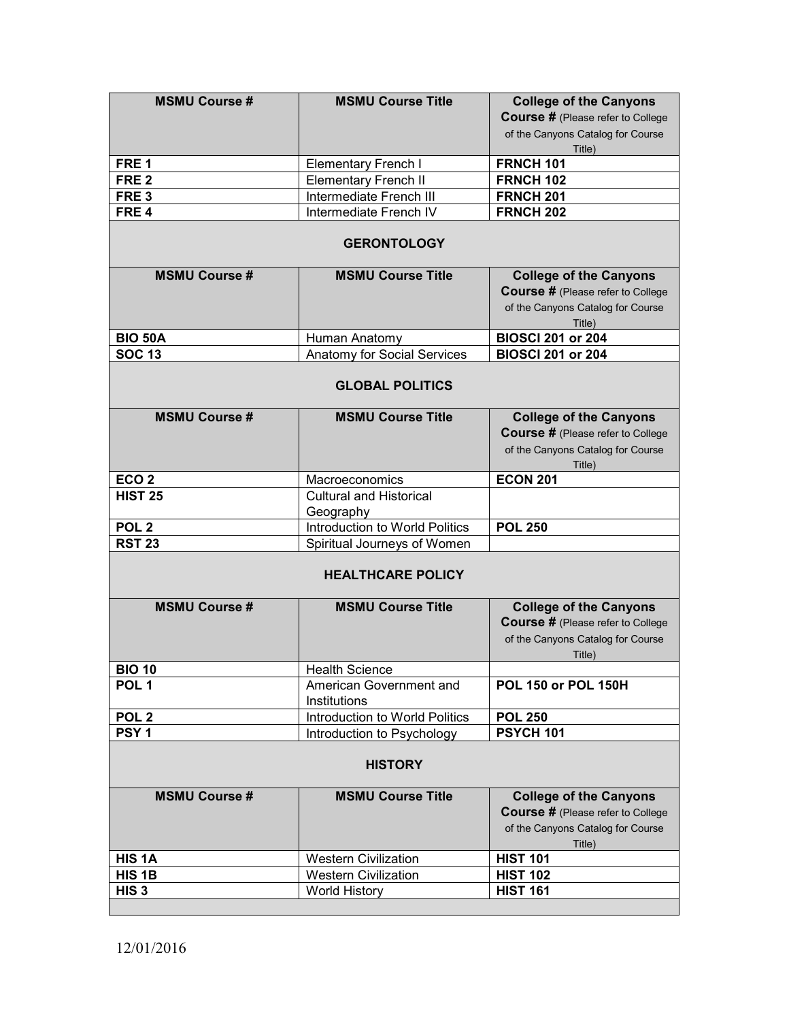| <b>MSMU Course#</b>  | <b>MSMU Course Title</b>                | <b>College of the Canyons</b>                                                                                            |  |
|----------------------|-----------------------------------------|--------------------------------------------------------------------------------------------------------------------------|--|
|                      |                                         | <b>Course # (Please refer to College</b>                                                                                 |  |
|                      |                                         | of the Canyons Catalog for Course                                                                                        |  |
|                      |                                         | Title)                                                                                                                   |  |
| FRE <sub>1</sub>     | <b>Elementary French I</b>              | <b>FRNCH 101</b>                                                                                                         |  |
| FRE <sub>2</sub>     | <b>Elementary French II</b>             | <b>FRNCH 102</b>                                                                                                         |  |
| FRE <sub>3</sub>     | Intermediate French III                 | <b>FRNCH 201</b>                                                                                                         |  |
| FRE <sub>4</sub>     | Intermediate French IV                  | <b>FRNCH 202</b>                                                                                                         |  |
|                      | <b>GERONTOLOGY</b>                      |                                                                                                                          |  |
| <b>MSMU Course#</b>  | <b>MSMU Course Title</b>                | <b>College of the Canyons</b><br><b>Course # (Please refer to College</b><br>of the Canyons Catalog for Course<br>Title) |  |
| <b>BIO 50A</b>       | Human Anatomy                           | <b>BIOSCI 201 or 204</b>                                                                                                 |  |
| <b>SOC 13</b>        | Anatomy for Social Services             | <b>BIOSCI 201 or 204</b>                                                                                                 |  |
|                      | <b>GLOBAL POLITICS</b>                  |                                                                                                                          |  |
| <b>MSMU Course #</b> | <b>MSMU Course Title</b>                | <b>College of the Canyons</b>                                                                                            |  |
|                      |                                         | <b>Course # (Please refer to College</b>                                                                                 |  |
|                      |                                         | of the Canyons Catalog for Course<br>Title)                                                                              |  |
| ECO <sub>2</sub>     | Macroeconomics                          | <b>ECON 201</b>                                                                                                          |  |
| <b>HIST 25</b>       | <b>Cultural and Historical</b>          |                                                                                                                          |  |
|                      | Geography                               |                                                                                                                          |  |
| POL <sub>2</sub>     | Introduction to World Politics          | <b>POL 250</b>                                                                                                           |  |
| <b>RST 23</b>        | Spiritual Journeys of Women             |                                                                                                                          |  |
|                      | <b>HEALTHCARE POLICY</b>                |                                                                                                                          |  |
| <b>MSMU Course #</b> | <b>MSMU Course Title</b>                | <b>College of the Canyons</b>                                                                                            |  |
|                      |                                         | <b>Course # (Please refer to College</b>                                                                                 |  |
|                      |                                         | of the Canyons Catalog for Course                                                                                        |  |
|                      |                                         | Title)                                                                                                                   |  |
| <b>BIO 10</b>        | <b>Health Science</b>                   |                                                                                                                          |  |
| POL <sub>1</sub>     | American Government and<br>Institutions | POL 150 or POL 150H                                                                                                      |  |
| POL <sub>2</sub>     | Introduction to World Politics          | <b>POL 250</b>                                                                                                           |  |
| PSY <sub>1</sub>     | Introduction to Psychology              | <b>PSYCH 101</b>                                                                                                         |  |
| <b>HISTORY</b>       |                                         |                                                                                                                          |  |
| <b>MSMU Course #</b> | <b>MSMU Course Title</b>                | <b>College of the Canyons</b>                                                                                            |  |
|                      |                                         | <b>Course # (Please refer to College</b>                                                                                 |  |
|                      |                                         | of the Canyons Catalog for Course<br>Title)                                                                              |  |
| HIS <sub>1</sub> A   | <b>Western Civilization</b>             | <b>HIST 101</b>                                                                                                          |  |
| HIS <sub>1B</sub>    | <b>Western Civilization</b>             | <b>HIST 102</b>                                                                                                          |  |
| HIS <sub>3</sub>     | <b>World History</b>                    | <b>HIST 161</b>                                                                                                          |  |
|                      |                                         |                                                                                                                          |  |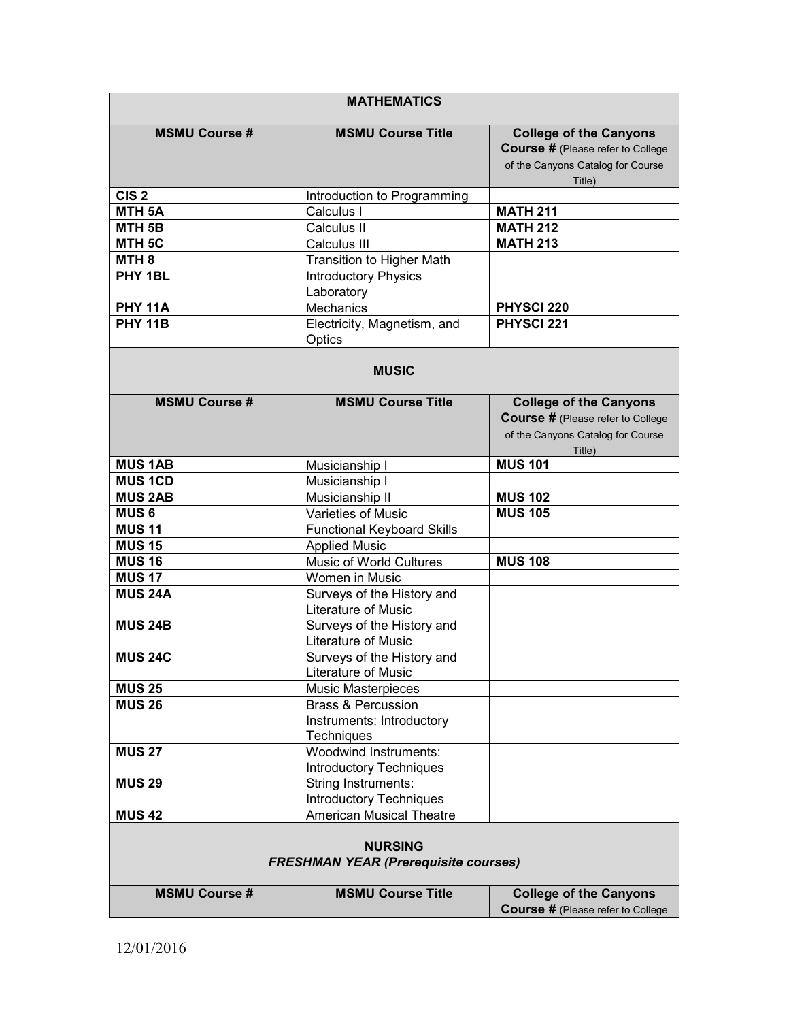| <b>MATHEMATICS</b>                                            |                                                                          |                                                                                                                          |  |
|---------------------------------------------------------------|--------------------------------------------------------------------------|--------------------------------------------------------------------------------------------------------------------------|--|
| <b>MSMU Course#</b>                                           | <b>MSMU Course Title</b>                                                 | <b>College of the Canyons</b><br><b>Course # (Please refer to College</b><br>of the Canyons Catalog for Course<br>Title) |  |
| CIS <sub>2</sub>                                              | Introduction to Programming                                              |                                                                                                                          |  |
| MTH <sub>5A</sub>                                             | Calculus I                                                               | <b>MATH 211</b>                                                                                                          |  |
| MTH <sub>5B</sub>                                             | Calculus II                                                              | <b>MATH 212</b>                                                                                                          |  |
| MTH <sub>5C</sub>                                             | Calculus III                                                             | <b>MATH 213</b>                                                                                                          |  |
| MTH <sub>8</sub>                                              | <b>Transition to Higher Math</b>                                         |                                                                                                                          |  |
| PHY 1BL                                                       | <b>Introductory Physics</b><br>Laboratory                                |                                                                                                                          |  |
| <b>PHY 11A</b>                                                | <b>Mechanics</b>                                                         | PHYSCI 220                                                                                                               |  |
| <b>PHY 11B</b>                                                | Electricity, Magnetism, and<br>Optics                                    | PHYSCI 221                                                                                                               |  |
|                                                               | <b>MUSIC</b>                                                             |                                                                                                                          |  |
| <b>MSMU Course #</b>                                          | <b>MSMU Course Title</b>                                                 | <b>College of the Canyons</b><br><b>Course # (Please refer to College</b><br>of the Canyons Catalog for Course<br>Title) |  |
| <b>MUS 1AB</b>                                                | Musicianship I                                                           | <b>MUS 101</b>                                                                                                           |  |
| <b>MUS1CD</b>                                                 | Musicianship I                                                           |                                                                                                                          |  |
| <b>MUS 2AB</b>                                                | Musicianship II                                                          | <b>MUS 102</b>                                                                                                           |  |
| <b>MUS6</b>                                                   | Varieties of Music                                                       | <b>MUS 105</b>                                                                                                           |  |
| <b>MUS 11</b>                                                 | <b>Functional Keyboard Skills</b>                                        |                                                                                                                          |  |
| <b>MUS 15</b>                                                 | <b>Applied Music</b>                                                     |                                                                                                                          |  |
| <b>MUS 16</b>                                                 | Music of World Cultures                                                  | <b>MUS 108</b>                                                                                                           |  |
| <b>MUS 17</b>                                                 | Women in Music                                                           |                                                                                                                          |  |
| <b>MUS 24A</b>                                                | Surveys of the History and<br>Literature of Music                        |                                                                                                                          |  |
| <b>MUS 24B</b>                                                | Surveys of the History and<br>Literature of Music                        |                                                                                                                          |  |
| <b>MUS 24C</b>                                                | Surveys of the History and<br>Literature of Music                        |                                                                                                                          |  |
| <b>MUS 25</b>                                                 | <b>Music Masterpieces</b>                                                |                                                                                                                          |  |
| <b>MUS 26</b>                                                 | <b>Brass &amp; Percussion</b><br>Instruments: Introductory<br>Techniques |                                                                                                                          |  |
| <b>MUS 27</b>                                                 | <b>Woodwind Instruments:</b><br>Introductory Techniques                  |                                                                                                                          |  |
| <b>MUS 29</b>                                                 | <b>String Instruments:</b><br><b>Introductory Techniques</b>             |                                                                                                                          |  |
| <b>MUS 42</b>                                                 | <b>American Musical Theatre</b>                                          |                                                                                                                          |  |
| <b>NURSING</b><br><b>FRESHMAN YEAR (Prerequisite courses)</b> |                                                                          |                                                                                                                          |  |
| <b>MSMU Course#</b>                                           | <b>MSMU Course Title</b>                                                 | <b>College of the Canyons</b><br>Course # (Please refer to College                                                       |  |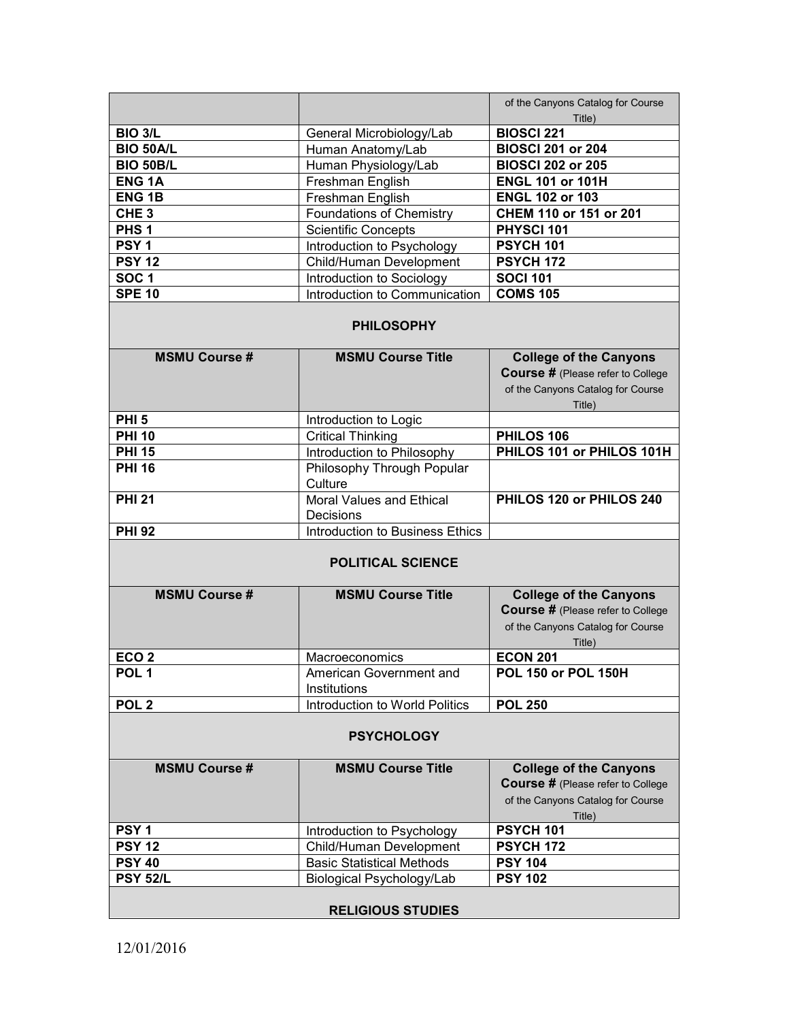|                  |                                 | of the Canyons Catalog for Course |
|------------------|---------------------------------|-----------------------------------|
|                  |                                 | Title)                            |
| <b>BIO 3/L</b>   | General Microbiology/Lab        | <b>BIOSCI 221</b>                 |
| <b>BIO 50A/L</b> | Human Anatomy/Lab               | <b>BIOSCI 201 or 204</b>          |
| <b>BIO 50B/L</b> | Human Physiology/Lab            | <b>BIOSCI 202 or 205</b>          |
| <b>ENG 1A</b>    | Freshman English                | <b>ENGL 101 or 101H</b>           |
| <b>ENG1B</b>     | Freshman English                | <b>ENGL 102 or 103</b>            |
| CHE <sub>3</sub> | <b>Foundations of Chemistry</b> | CHEM 110 or 151 or 201            |
| PHS <sub>1</sub> | <b>Scientific Concepts</b>      | PHYSCI 101                        |
| PSY <sub>1</sub> | Introduction to Psychology      | <b>PSYCH 101</b>                  |
| <b>PSY 12</b>    | Child/Human Development         | <b>PSYCH 172</b>                  |
| SOC <sub>1</sub> | Introduction to Sociology       | <b>SOCI 101</b>                   |
| <b>SPE 10</b>    | Introduction to Communication   | <b>COMS 105</b>                   |

#### **PHILOSOPHY**

| <b>MSMU Course #</b> | <b>MSMU Course Title</b>        | <b>College of the Canyons</b>            |
|----------------------|---------------------------------|------------------------------------------|
|                      |                                 | <b>Course # (Please refer to College</b> |
|                      |                                 | of the Canyons Catalog for Course        |
|                      |                                 | Title)                                   |
| <b>PHI 5</b>         | Introduction to Logic           |                                          |
| <b>PHI 10</b>        | <b>Critical Thinking</b>        | PHILOS 106                               |
| <b>PHI 15</b>        | Introduction to Philosophy      | PHILOS 101 or PHILOS 101H                |
| <b>PHI 16</b>        | Philosophy Through Popular      |                                          |
|                      | Culture                         |                                          |
| <b>PHI 21</b>        | Moral Values and Ethical        | PHILOS 120 or PHILOS 240                 |
|                      | Decisions                       |                                          |
| <b>PHI 92</b>        | Introduction to Business Ethics |                                          |

## **POLITICAL SCIENCE**

| <b>MSMU Course #</b> | <b>MSMU Course Title</b>       | <b>College of the Canyons</b>             |
|----------------------|--------------------------------|-------------------------------------------|
|                      |                                | <b>Course # (Please refer to College)</b> |
|                      |                                | of the Canyons Catalog for Course         |
|                      |                                | Title)                                    |
| ECO <sub>2</sub>     | <b>Macroeconomics</b>          | <b>ECON 201</b>                           |
| POL <sub>1</sub>     | American Government and        | <b>POL 150 or POL 150H</b>                |
|                      | Institutions                   |                                           |
| POL <sub>2</sub>     | Introduction to World Politics | <b>POL 250</b>                            |

#### **PSYCHOLOGY**

| <b>MSMU Course #</b> | <b>MSMU Course Title</b>         | <b>College of the Canyons</b>            |
|----------------------|----------------------------------|------------------------------------------|
|                      |                                  | <b>Course # (Please refer to College</b> |
|                      |                                  | of the Canyons Catalog for Course        |
|                      |                                  | Title)                                   |
| PSY <sub>1</sub>     | Introduction to Psychology       | <b>PSYCH 101</b>                         |
| <b>PSY 12</b>        | Child/Human Development          | <b>PSYCH 172</b>                         |
| <b>PSY 40</b>        | <b>Basic Statistical Methods</b> | <b>PSY 104</b>                           |
| <b>PSY 52/L</b>      | Biological Psychology/Lab        | <b>PSY 102</b>                           |
|                      |                                  |                                          |
|                      | <b>RELIGIOUS STUDIES</b>         |                                          |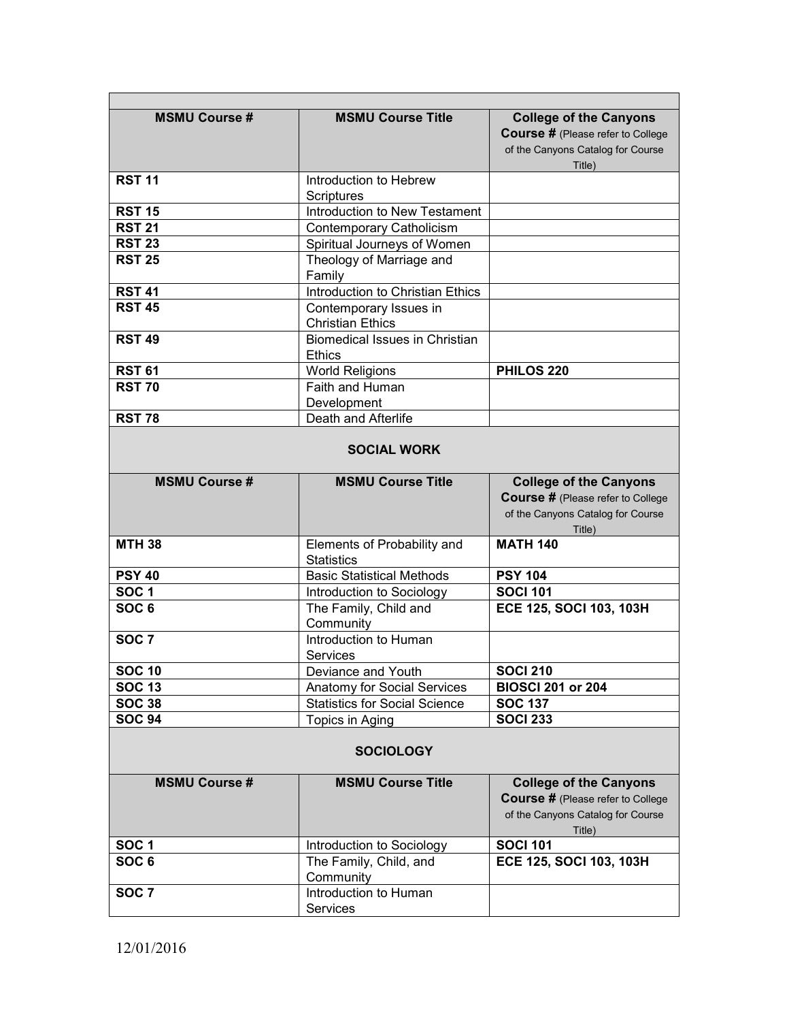| <b>MSMU Course #</b> | <b>MSMU Course Title</b>                               | <b>College of the Canyons</b><br><b>Course # (Please refer to College</b><br>of the Canyons Catalog for Course<br>Title) |  |  |
|----------------------|--------------------------------------------------------|--------------------------------------------------------------------------------------------------------------------------|--|--|
| <b>RST 11</b>        | Introduction to Hebrew                                 |                                                                                                                          |  |  |
|                      | Scriptures                                             |                                                                                                                          |  |  |
| <b>RST 15</b>        | Introduction to New Testament                          |                                                                                                                          |  |  |
| <b>RST 21</b>        | <b>Contemporary Catholicism</b>                        |                                                                                                                          |  |  |
| <b>RST 23</b>        | Spiritual Journeys of Women                            |                                                                                                                          |  |  |
| <b>RST 25</b>        | Theology of Marriage and                               |                                                                                                                          |  |  |
|                      | Family                                                 |                                                                                                                          |  |  |
| <b>RST 41</b>        | Introduction to Christian Ethics                       |                                                                                                                          |  |  |
| <b>RST 45</b>        | Contemporary Issues in<br><b>Christian Ethics</b>      |                                                                                                                          |  |  |
| <b>RST 49</b>        | <b>Biomedical Issues in Christian</b><br><b>Ethics</b> |                                                                                                                          |  |  |
| <b>RST 61</b>        | <b>World Religions</b>                                 | PHILOS 220                                                                                                               |  |  |
| <b>RST 70</b>        | Faith and Human                                        |                                                                                                                          |  |  |
|                      | Development                                            |                                                                                                                          |  |  |
| <b>RST 78</b>        | Death and Afterlife                                    |                                                                                                                          |  |  |
| <b>SOCIAL WORK</b>   |                                                        |                                                                                                                          |  |  |
| <b>MSMU Course #</b> | <b>MSMU Course Title</b>                               | <b>College of the Canyons</b><br><b>Course # (Please refer to College</b><br>of the Canyons Catalog for Course<br>Title) |  |  |
| <b>MTH 38</b>        | Elements of Probability and<br><b>Statistics</b>       | <b>MATH 140</b>                                                                                                          |  |  |
| <b>PSY 40</b>        | <b>Basic Statistical Methods</b>                       | <b>PSY 104</b>                                                                                                           |  |  |
| <b>SOC1</b>          | Introduction to Sociology                              | <b>SOCI 101</b>                                                                                                          |  |  |
| SOC <sub>6</sub>     | The Family, Child and<br>Community                     | ECE 125, SOCI 103, 103H                                                                                                  |  |  |
| SOC <sub>7</sub>     | Introduction to Human<br>Services                      |                                                                                                                          |  |  |
| <b>SOC 10</b>        | Deviance and Youth                                     | <b>SOCI 210</b>                                                                                                          |  |  |
| <b>SOC 13</b>        | Anatomy for Social Services                            | <b>BIOSCI 201 or 204</b>                                                                                                 |  |  |
| <b>SOC 38</b>        | <b>Statistics for Social Science</b>                   | <b>SOC 137</b>                                                                                                           |  |  |
| <b>SOC 94</b>        | Topics in Aging                                        | <b>SOCI 233</b>                                                                                                          |  |  |
| <b>SOCIOLOGY</b>     |                                                        |                                                                                                                          |  |  |
| <b>MSMU Course #</b> | <b>MSMU Course Title</b>                               | <b>College of the Canyons</b><br><b>Course # (Please refer to College</b><br>of the Canyons Catalog for Course<br>Title) |  |  |
| SOC <sub>1</sub>     | Introduction to Sociology                              | <b>SOCI 101</b>                                                                                                          |  |  |
| SOC <sub>6</sub>     | The Family, Child, and<br>Community                    | ECE 125, SOCI 103, 103H                                                                                                  |  |  |
| <b>SOC 7</b>         | Introduction to Human<br>Services                      |                                                                                                                          |  |  |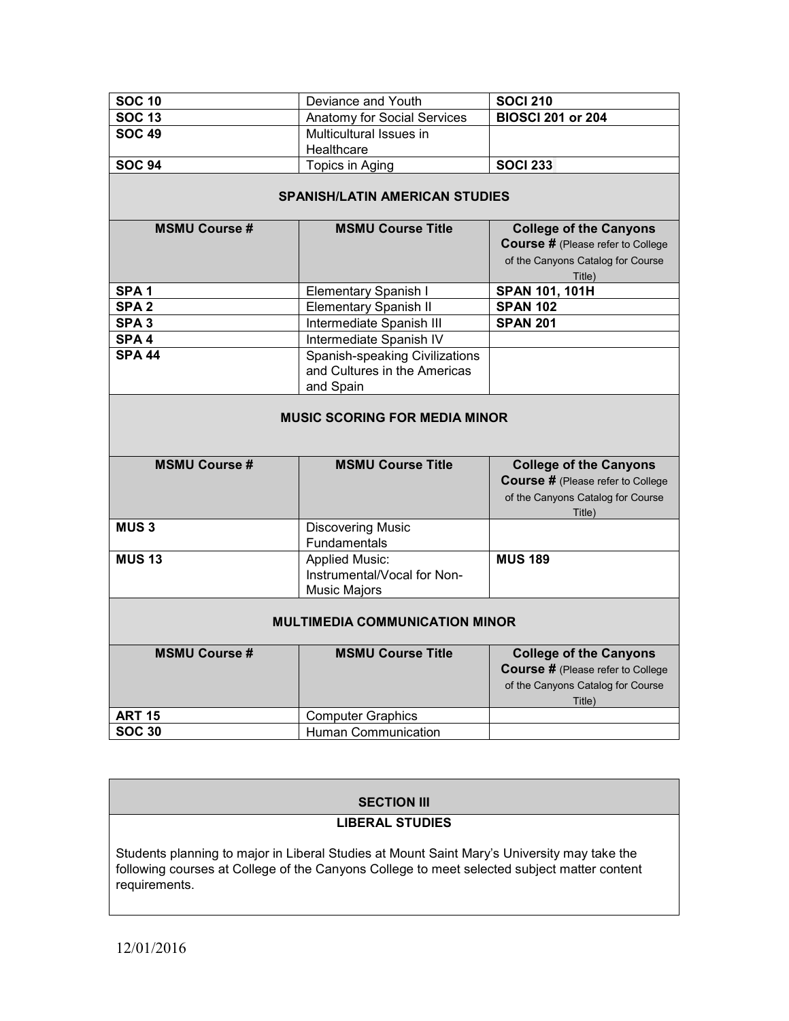| <b>SOC 10</b>                         | Deviance and Youth                    | <b>SOCI 210</b>                                                                                                   |  |  |
|---------------------------------------|---------------------------------------|-------------------------------------------------------------------------------------------------------------------|--|--|
| <b>SOC 13</b>                         | <b>Anatomy for Social Services</b>    | <b>BIOSCI 201 or 204</b>                                                                                          |  |  |
| <b>SOC 49</b>                         | Multicultural Issues in               |                                                                                                                   |  |  |
|                                       | Healthcare                            |                                                                                                                   |  |  |
| <b>SOC 94</b>                         | Topics in Aging                       | <b>SOCI 233</b>                                                                                                   |  |  |
| <b>SPANISH/LATIN AMERICAN STUDIES</b> |                                       |                                                                                                                   |  |  |
| <b>MSMU Course #</b>                  | <b>MSMU Course Title</b>              | <b>College of the Canyons</b>                                                                                     |  |  |
|                                       |                                       | <b>Course # (Please refer to College</b>                                                                          |  |  |
|                                       |                                       | of the Canyons Catalog for Course                                                                                 |  |  |
|                                       |                                       | Title)                                                                                                            |  |  |
| SPA <sub>1</sub>                      | Elementary Spanish I                  | SPAN 101, 101H                                                                                                    |  |  |
| SPA <sub>2</sub>                      | Elementary Spanish II                 | <b>SPAN 102</b>                                                                                                   |  |  |
| SPA <sub>3</sub>                      | Intermediate Spanish III              | <b>SPAN 201</b>                                                                                                   |  |  |
| SPA <sub>4</sub>                      | Intermediate Spanish IV               |                                                                                                                   |  |  |
| <b>SPA 44</b>                         | Spanish-speaking Civilizations        |                                                                                                                   |  |  |
|                                       | and Cultures in the Americas          |                                                                                                                   |  |  |
|                                       | and Spain                             |                                                                                                                   |  |  |
|                                       |                                       |                                                                                                                   |  |  |
|                                       | <b>MUSIC SCORING FOR MEDIA MINOR</b>  |                                                                                                                   |  |  |
| <b>MSMU Course #</b>                  | <b>MSMU Course Title</b>              | <b>College of the Canyons</b>                                                                                     |  |  |
|                                       |                                       | <b>Course # (Please refer to College</b>                                                                          |  |  |
|                                       |                                       | of the Canyons Catalog for Course                                                                                 |  |  |
|                                       |                                       | Title)                                                                                                            |  |  |
| <b>MUS3</b>                           | <b>Discovering Music</b>              |                                                                                                                   |  |  |
|                                       | Fundamentals                          |                                                                                                                   |  |  |
| <b>MUS 13</b>                         | <b>Applied Music:</b>                 | <b>MUS 189</b>                                                                                                    |  |  |
|                                       | Instrumental/Vocal for Non-           |                                                                                                                   |  |  |
|                                       | <b>Music Majors</b>                   |                                                                                                                   |  |  |
|                                       | <b>MULTIMEDIA COMMUNICATION MINOR</b> |                                                                                                                   |  |  |
| <b>MSMU Course #</b>                  | <b>MSMU Course Title</b>              | <b>College of the Canyons</b><br>Course # (Please refer to College<br>of the Canyons Catalog for Course<br>Title) |  |  |
| <b>ART 15</b>                         | <b>Computer Graphics</b>              |                                                                                                                   |  |  |
| <b>SOC 30</b>                         | <b>Human Communication</b>            |                                                                                                                   |  |  |

# **SECTION III LIBERAL STUDIES**

Students planning to major in Liberal Studies at Mount Saint Mary's University may take the following courses at College of the Canyons College to meet selected subject matter content requirements.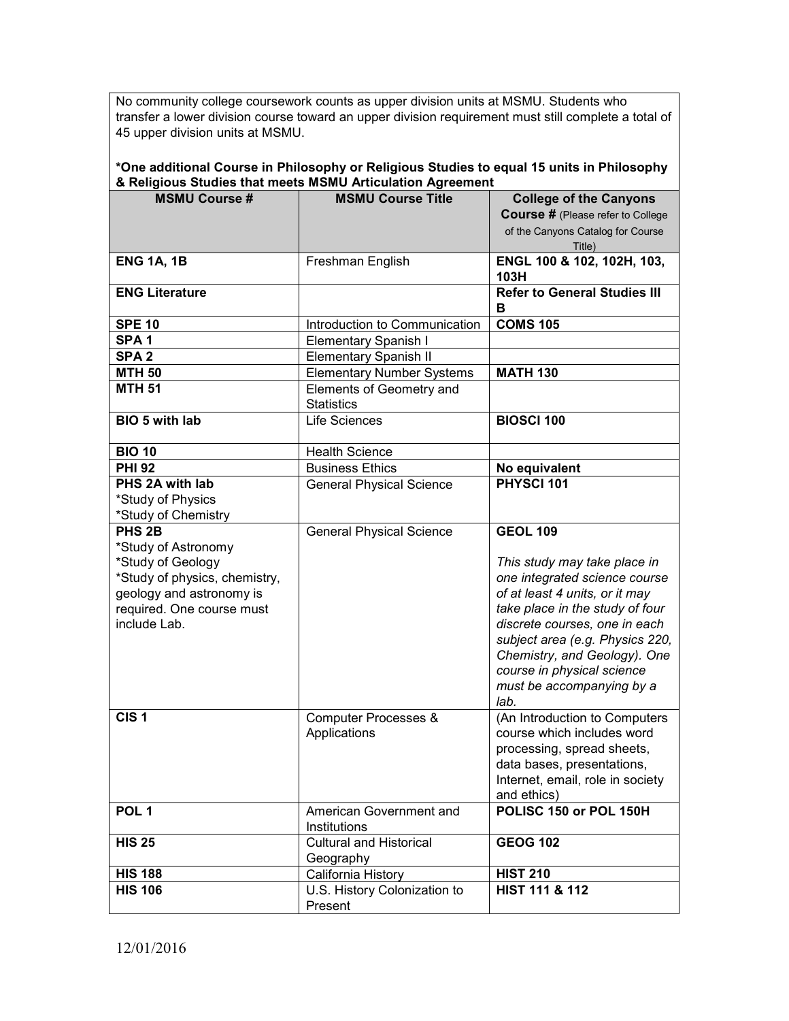No community college coursework counts as upper division units at MSMU. Students who transfer a lower division course toward an upper division requirement must still complete a total of 45 upper division units at MSMU.

|                               | & Religious Studies that meets wowd Articulation Agreement |                                          |
|-------------------------------|------------------------------------------------------------|------------------------------------------|
| <b>MSMU Course #</b>          | <b>MSMU Course Title</b>                                   | <b>College of the Canyons</b>            |
|                               |                                                            | <b>Course # (Please refer to College</b> |
|                               |                                                            | of the Canyons Catalog for Course        |
|                               |                                                            | Title)                                   |
| <b>ENG 1A, 1B</b>             | Freshman English                                           | ENGL 100 & 102, 102H, 103,               |
|                               |                                                            | 103H                                     |
| <b>ENG Literature</b>         |                                                            | <b>Refer to General Studies III</b>      |
|                               |                                                            | в<br><b>COMS 105</b>                     |
| <b>SPE 10</b>                 | Introduction to Communication                              |                                          |
| SPA <sub>1</sub>              | <b>Elementary Spanish I</b>                                |                                          |
| SPA <sub>2</sub>              | Elementary Spanish II                                      |                                          |
| <b>MTH 50</b>                 | <b>Elementary Number Systems</b>                           | <b>MATH 130</b>                          |
| <b>MTH 51</b>                 | Elements of Geometry and<br><b>Statistics</b>              |                                          |
| BIO 5 with lab                | Life Sciences                                              | <b>BIOSCI 100</b>                        |
| <b>BIO 10</b>                 | <b>Health Science</b>                                      |                                          |
| <b>PHI 92</b>                 | <b>Business Ethics</b>                                     | No equivalent                            |
| PHS 2A with lab               | <b>General Physical Science</b>                            | PHYSCI 101                               |
| *Study of Physics             |                                                            |                                          |
| *Study of Chemistry           |                                                            |                                          |
| PHS <sub>2B</sub>             | <b>General Physical Science</b>                            | <b>GEOL 109</b>                          |
| *Study of Astronomy           |                                                            |                                          |
| *Study of Geology             |                                                            | This study may take place in             |
| *Study of physics, chemistry, |                                                            | one integrated science course            |
| geology and astronomy is      |                                                            | of at least 4 units, or it may           |
| required. One course must     |                                                            | take place in the study of four          |
| include Lab.                  |                                                            | discrete courses, one in each            |
|                               |                                                            | subject area (e.g. Physics 220,          |
|                               |                                                            | Chemistry, and Geology). One             |
|                               |                                                            | course in physical science               |
|                               |                                                            | must be accompanying by a                |
|                               |                                                            | lab.                                     |
| CIS <sub>1</sub>              | Computer Processes &                                       | (An Introduction to Computers            |
|                               | Applications                                               | course which includes word               |
|                               |                                                            | processing, spread sheets,               |
|                               |                                                            | data bases, presentations,               |
|                               |                                                            | Internet, email, role in society         |
|                               |                                                            | and ethics)                              |
| POL <sub>1</sub>              | American Government and                                    | POLISC 150 or POL 150H                   |
|                               | Institutions                                               |                                          |
| <b>HIS 25</b>                 | <b>Cultural and Historical</b>                             | <b>GEOG 102</b>                          |
|                               | Geography                                                  |                                          |
| <b>HIS 188</b>                | California History                                         | <b>HIST 210</b>                          |
| <b>HIS 106</b>                | U.S. History Colonization to                               | HIST 111 & 112                           |
|                               | Present                                                    |                                          |

## **\*One additional Course in Philosophy or Religious Studies to equal 15 units in Philosophy & Religious Studies that meets MSMU Articulation Agreement**